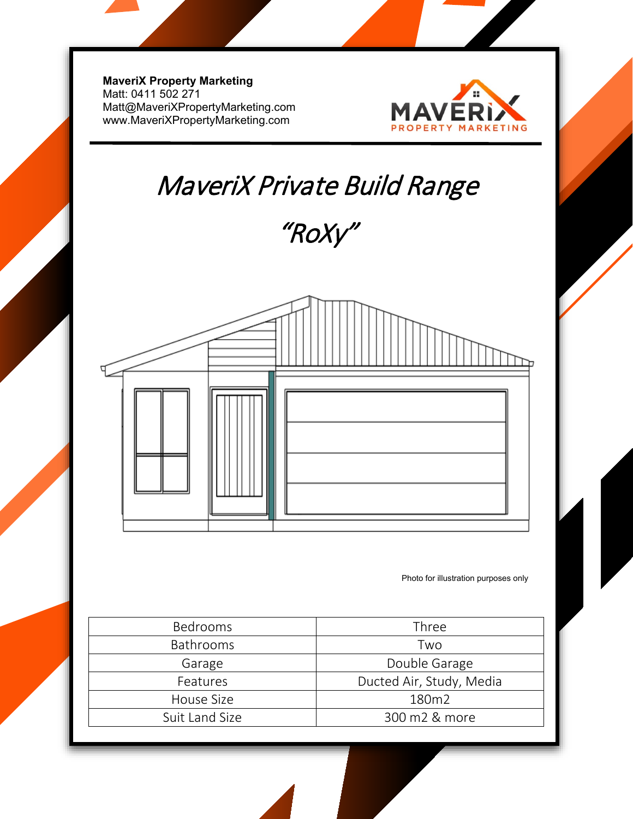**MaveriX Property Marketing** Matt: 0411 502 271 [Matt@MaveriXPropertyMarketing.com](mailto:Matt@MaveriXPropertyMarketing.com) www.MaveriXPropertyMarketing.com



## MaveriX Private Build Range

"RoXy"



Photo for illustration purposes only

| <b>Bedrooms</b>  | Three                    |
|------------------|--------------------------|
| <b>Bathrooms</b> | Two                      |
| Garage           | Double Garage            |
| Features         | Ducted Air, Study, Media |
| House Size       | 180m2                    |
| Suit Land Size   | 300 m2 & more            |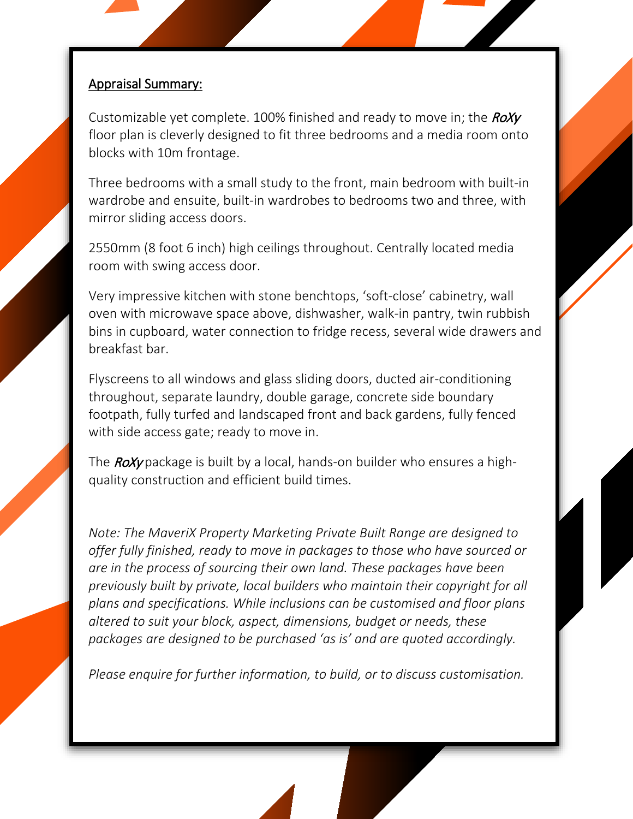## Appraisal Summary:

l

Customizable yet complete. 100% finished and ready to move in; the  $RoXy$ floor plan is cleverly designed to fit three bedrooms and a media room onto blocks with 10m frontage.

Three bedrooms with a small study to the front, main bedroom with built-in wardrobe and ensuite, built-in wardrobes to bedrooms two and three, with mirror sliding access doors.

2550mm (8 foot 6 inch) high ceilings throughout. Centrally located media room with swing access door.

Very impressive kitchen with stone benchtops, 'soft-close' cabinetry, wall oven with microwave space above, dishwasher, walk-in pantry, twin rubbish bins in cupboard, water connection to fridge recess, several wide drawers and breakfast bar.

Flyscreens to all windows and glass sliding doors, ducted air-conditioning throughout, separate laundry, double garage, concrete side boundary footpath, fully turfed and landscaped front and back gardens, fully fenced with side access gate; ready to move in.

The  $\textit{ROXy}$  package is built by a local, hands-on builder who ensures a highquality construction and efficient build times.

*Note: The MaveriX Property Marketing Private Built Range are designed to offer fully finished, ready to move in packages to those who have sourced or are in the process of sourcing their own land. These packages have been previously built by private, local builders who maintain their copyright for all plans and specifications. While inclusions can be customised and floor plans altered to suit your block, aspect, dimensions, budget or needs, these packages are designed to be purchased 'as is' and are quoted accordingly.* 

*Please enquire for further information, to build, or to discuss customisation.*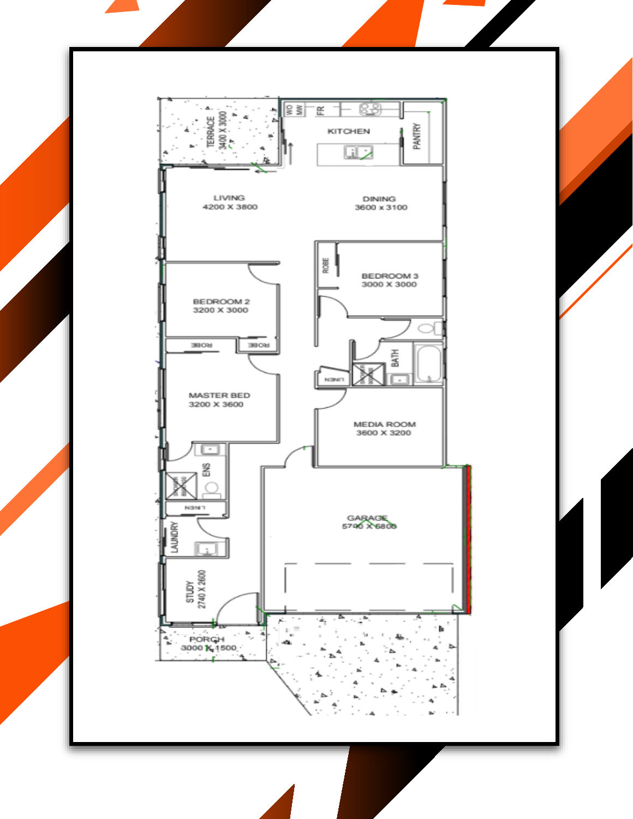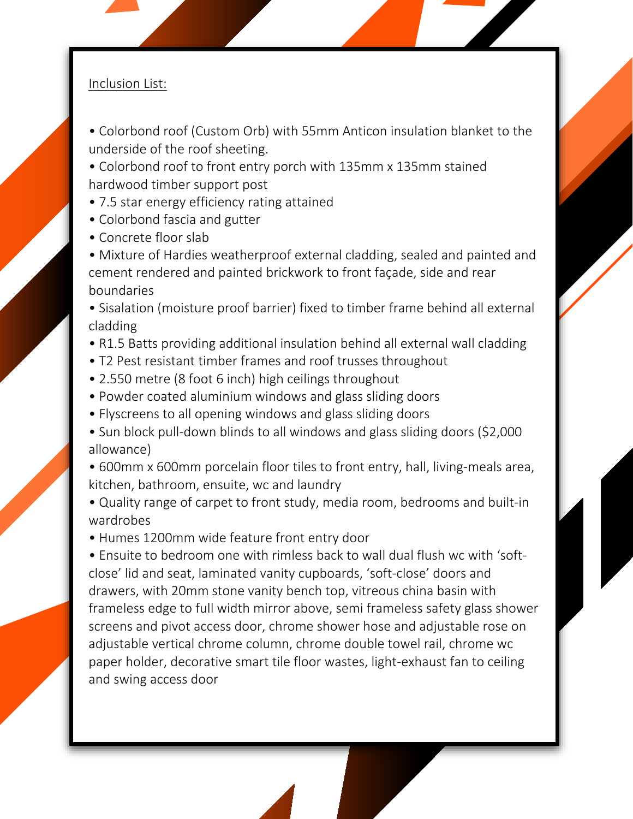## Inclusion List:

- Colorbond roof (Custom Orb) with 55mm Anticon insulation blanket to the underside of the roof sheeting.
- Colorbond roof to front entry porch with 135mm x 135mm stained hardwood timber support post
- 7.5 star energy efficiency rating attained
- Colorbond fascia and gutter
- Concrete floor slab
- Mixture of Hardies weatherproof external cladding, sealed and painted and cement rendered and painted brickwork to front façade, side and rear boundaries
- Sisalation (moisture proof barrier) fixed to timber frame behind all external cladding
- R1.5 Batts providing additional insulation behind all external wall cladding
- T2 Pest resistant timber frames and roof trusses throughout
- 2.550 metre (8 foot 6 inch) high ceilings throughout
- Powder coated aluminium windows and glass sliding doors
- Flyscreens to all opening windows and glass sliding doors
- Sun block pull-down blinds to all windows and glass sliding doors (\$2,000 allowance)
- 600mm x 600mm porcelain floor tiles to front entry, hall, living-meals area, kitchen, bathroom, ensuite, wc and laundry
- Quality range of carpet to front study, media room, bedrooms and built-in wardrobes
- Humes 1200mm wide feature front entry door

• Ensuite to bedroom one with rimless back to wall dual flush wc with 'softclose' lid and seat, laminated vanity cupboards, 'soft-close' doors and drawers, with 20mm stone vanity bench top, vitreous china basin with frameless edge to full width mirror above, semi frameless safety glass shower screens and pivot access door, chrome shower hose and adjustable rose on adjustable vertical chrome column, chrome double towel rail, chrome wc paper holder, decorative smart tile floor wastes, light-exhaust fan to ceiling and swing access door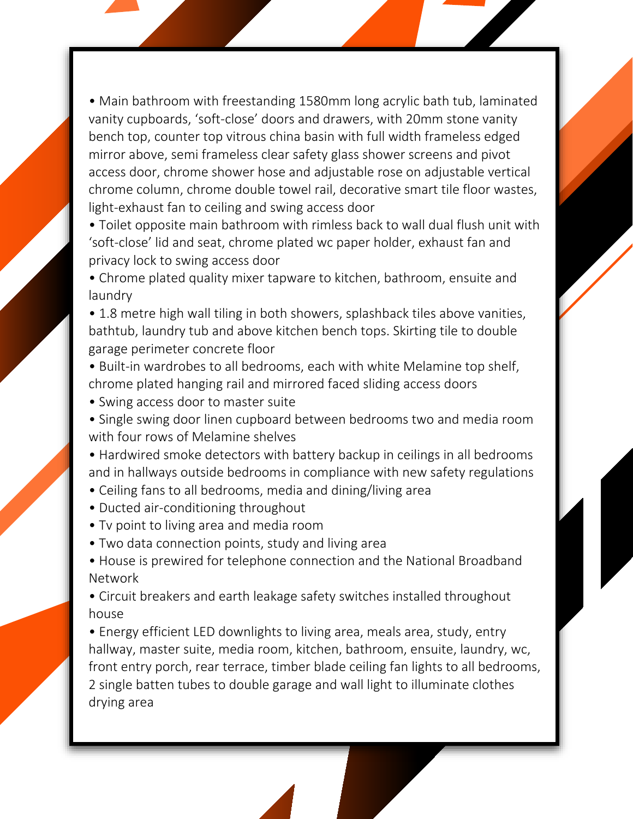• Main bathroom with freestanding 1580mm long acrylic bath tub, laminated vanity cupboards, 'soft-close' doors and drawers, with 20mm stone vanity bench top, counter top vitrous china basin with full width frameless edged mirror above, semi frameless clear safety glass shower screens and pivot access door, chrome shower hose and adjustable rose on adjustable vertical chrome column, chrome double towel rail, decorative smart tile floor wastes, light-exhaust fan to ceiling and swing access door

• Toilet opposite main bathroom with rimless back to wall dual flush unit with 'soft-close' lid and seat, chrome plated wc paper holder, exhaust fan and privacy lock to swing access door

• Chrome plated quality mixer tapware to kitchen, bathroom, ensuite and laundry

• 1.8 metre high wall tiling in both showers, splashback tiles above vanities, bathtub, laundry tub and above kitchen bench tops. Skirting tile to double garage perimeter concrete floor

• Built-in wardrobes to all bedrooms, each with white Melamine top shelf, chrome plated hanging rail and mirrored faced sliding access doors

• Swing access door to master suite

• Single swing door linen cupboard between bedrooms two and media room with four rows of Melamine shelves

• Hardwired smoke detectors with battery backup in ceilings in all bedrooms and in hallways outside bedrooms in compliance with new safety regulations

- Ceiling fans to all bedrooms, media and dining/living area
- Ducted air-conditioning throughout
- Tv point to living area and media room
- Two data connection points, study and living area
- House is prewired for telephone connection and the National Broadband Network
- Circuit breakers and earth leakage safety switches installed throughout house

• Energy efficient LED downlights to living area, meals area, study, entry hallway, master suite, media room, kitchen, bathroom, ensuite, laundry, wc, front entry porch, rear terrace, timber blade ceiling fan lights to all bedrooms, 2 single batten tubes to double garage and wall light to illuminate clothes drying area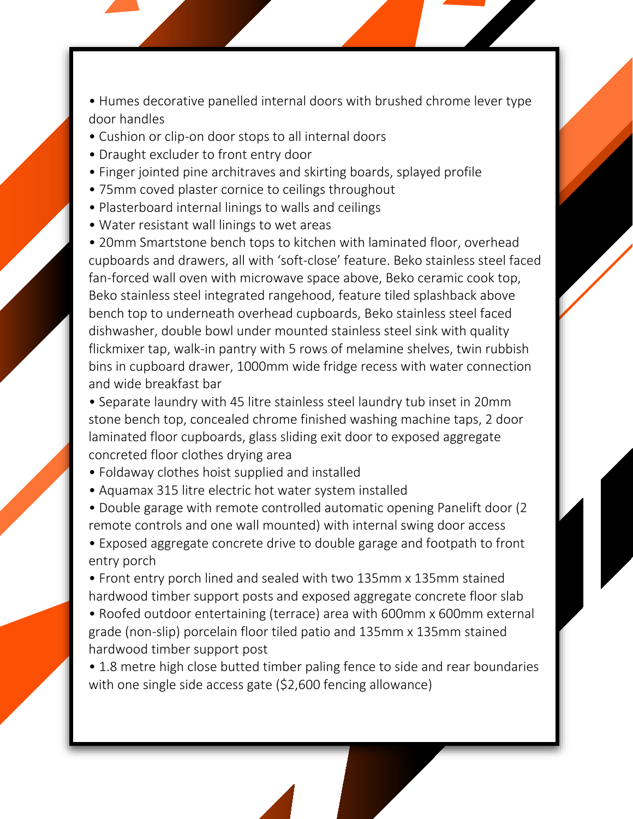• Humes decorative panelled internal doors with brushed chrome lever type door handles

- Cushion or clip-on door stops to all internal doors
- Draught excluder to front entry door
- Finger jointed pine architraves and skirting boards, splayed profile
- 75mm coved plaster cornice to ceilings throughout
- Plasterboard internal linings to walls and ceilings
- Water resistant wall linings to wet areas

• 20mm Smartstone bench tops to kitchen with laminated floor, overhead cupboards and drawers, all with 'soft-close' feature. Beko stainless steel faced fan-forced wall oven with microwave space above, Beko ceramic cook top, Beko stainless steel integrated rangehood, feature tiled splashback above bench top to underneath overhead cupboards, Beko stainless steel faced dishwasher, double bowl under mounted stainless steel sink with quality flickmixer tap, walk-in pantry with 5 rows of melamine shelves, twin rubbish bins in cupboard drawer, 1000mm wide fridge recess with water connection and wide breakfast bar

• Separate laundry with 45 litre stainless steel laundry tub inset in 20mm stone bench top, concealed chrome finished washing machine taps, 2 door laminated floor cupboards, glass sliding exit door to exposed aggregate concreted floor clothes drying area

- Foldaway clothes hoist supplied and installed
- Aquamax 315 litre electric hot water system installed

• Double garage with remote controlled automatic opening Panelift door (2 remote controls and one wall mounted) with internal swing door access

• Exposed aggregate concrete drive to double garage and footpath to front entry porch

• Front entry porch lined and sealed with two 135mm x 135mm stained hardwood timber support posts and exposed aggregate concrete floor slab

• Roofed outdoor entertaining (terrace) area with 600mm x 600mm external grade (non-slip) porcelain floor tiled patio and 135mm x 135mm stained hardwood timber support post

• 1.8 metre high close butted timber paling fence to side and rear boundaries with one single side access gate (\$2,600 fencing allowance)